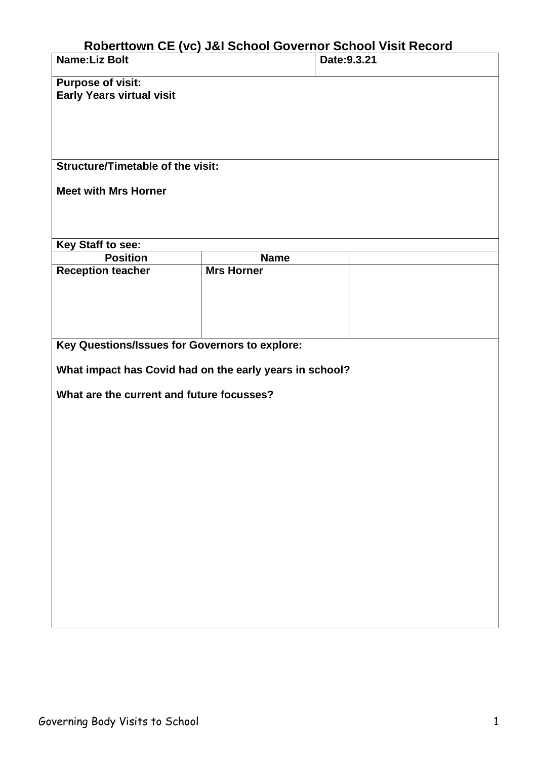## **Roberttown CE (vc) J&I School Governor School Visit Record**

| <b>Name:Liz Bolt</b>                                    |                   | RODERTIOWN CE (VC) J&I SCNOOL GOVERNOR SCNOOL VISIT RECORD<br>Date: 9.3.21 |  |  |  |  |
|---------------------------------------------------------|-------------------|----------------------------------------------------------------------------|--|--|--|--|
|                                                         |                   |                                                                            |  |  |  |  |
| <b>Purpose of visit:</b>                                |                   |                                                                            |  |  |  |  |
| <b>Early Years virtual visit</b>                        |                   |                                                                            |  |  |  |  |
|                                                         |                   |                                                                            |  |  |  |  |
|                                                         |                   |                                                                            |  |  |  |  |
|                                                         |                   |                                                                            |  |  |  |  |
| <b>Structure/Timetable of the visit:</b>                |                   |                                                                            |  |  |  |  |
|                                                         |                   |                                                                            |  |  |  |  |
| <b>Meet with Mrs Horner</b>                             |                   |                                                                            |  |  |  |  |
|                                                         |                   |                                                                            |  |  |  |  |
|                                                         |                   |                                                                            |  |  |  |  |
| Key Staff to see:                                       |                   |                                                                            |  |  |  |  |
| <b>Position</b>                                         | <b>Name</b>       |                                                                            |  |  |  |  |
| <b>Reception teacher</b>                                | <b>Mrs Horner</b> |                                                                            |  |  |  |  |
|                                                         |                   |                                                                            |  |  |  |  |
|                                                         |                   |                                                                            |  |  |  |  |
|                                                         |                   |                                                                            |  |  |  |  |
| Key Questions/Issues for Governors to explore:          |                   |                                                                            |  |  |  |  |
|                                                         |                   |                                                                            |  |  |  |  |
| What impact has Covid had on the early years in school? |                   |                                                                            |  |  |  |  |
| What are the current and future focusses?               |                   |                                                                            |  |  |  |  |
|                                                         |                   |                                                                            |  |  |  |  |
|                                                         |                   |                                                                            |  |  |  |  |
|                                                         |                   |                                                                            |  |  |  |  |
|                                                         |                   |                                                                            |  |  |  |  |
|                                                         |                   |                                                                            |  |  |  |  |
|                                                         |                   |                                                                            |  |  |  |  |
|                                                         |                   |                                                                            |  |  |  |  |
|                                                         |                   |                                                                            |  |  |  |  |
|                                                         |                   |                                                                            |  |  |  |  |
|                                                         |                   |                                                                            |  |  |  |  |
|                                                         |                   |                                                                            |  |  |  |  |
|                                                         |                   |                                                                            |  |  |  |  |
|                                                         |                   |                                                                            |  |  |  |  |
|                                                         |                   |                                                                            |  |  |  |  |
|                                                         |                   |                                                                            |  |  |  |  |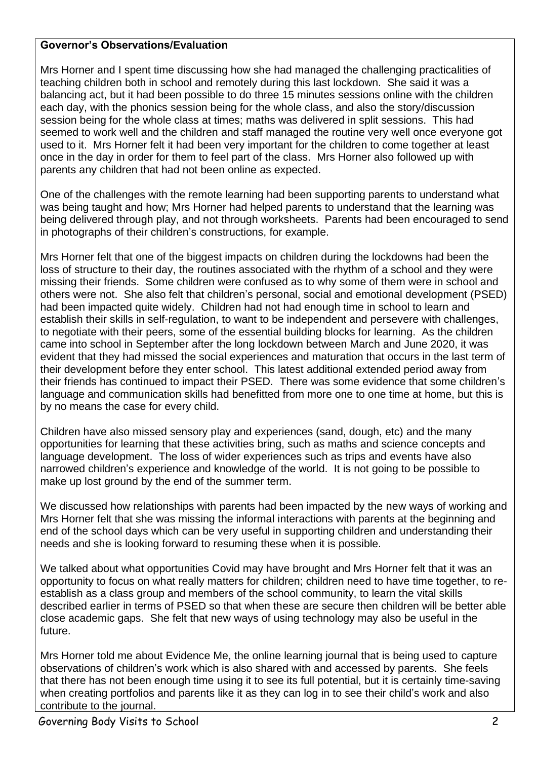## **Governor's Observations/Evaluation**

Mrs Horner and I spent time discussing how she had managed the challenging practicalities of teaching children both in school and remotely during this last lockdown. She said it was a balancing act, but it had been possible to do three 15 minutes sessions online with the children each day, with the phonics session being for the whole class, and also the story/discussion session being for the whole class at times; maths was delivered in split sessions. This had seemed to work well and the children and staff managed the routine very well once everyone got used to it. Mrs Horner felt it had been very important for the children to come together at least once in the day in order for them to feel part of the class. Mrs Horner also followed up with parents any children that had not been online as expected.

One of the challenges with the remote learning had been supporting parents to understand what was being taught and how; Mrs Horner had helped parents to understand that the learning was being delivered through play, and not through worksheets. Parents had been encouraged to send in photographs of their children's constructions, for example.

Mrs Horner felt that one of the biggest impacts on children during the lockdowns had been the loss of structure to their day, the routines associated with the rhythm of a school and they were missing their friends. Some children were confused as to why some of them were in school and others were not. She also felt that children's personal, social and emotional development (PSED) had been impacted quite widely. Children had not had enough time in school to learn and establish their skills in self-regulation, to want to be independent and persevere with challenges, to negotiate with their peers, some of the essential building blocks for learning. As the children came into school in September after the long lockdown between March and June 2020, it was evident that they had missed the social experiences and maturation that occurs in the last term of their development before they enter school. This latest additional extended period away from their friends has continued to impact their PSED. There was some evidence that some children's language and communication skills had benefitted from more one to one time at home, but this is by no means the case for every child.

Children have also missed sensory play and experiences (sand, dough, etc) and the many opportunities for learning that these activities bring, such as maths and science concepts and language development. The loss of wider experiences such as trips and events have also narrowed children's experience and knowledge of the world. It is not going to be possible to make up lost ground by the end of the summer term.

We discussed how relationships with parents had been impacted by the new ways of working and Mrs Horner felt that she was missing the informal interactions with parents at the beginning and end of the school days which can be very useful in supporting children and understanding their needs and she is looking forward to resuming these when it is possible.

We talked about what opportunities Covid may have brought and Mrs Horner felt that it was an opportunity to focus on what really matters for children; children need to have time together, to reestablish as a class group and members of the school community, to learn the vital skills described earlier in terms of PSED so that when these are secure then children will be better able close academic gaps. She felt that new ways of using technology may also be useful in the future.

Mrs Horner told me about Evidence Me, the online learning journal that is being used to capture observations of children's work which is also shared with and accessed by parents. She feels that there has not been enough time using it to see its full potential, but it is certainly time-saving when creating portfolios and parents like it as they can log in to see their child's work and also contribute to the journal.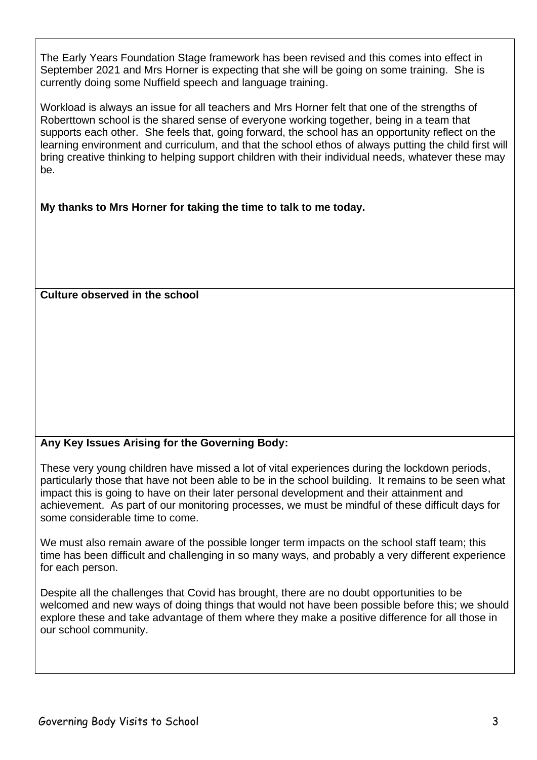The Early Years Foundation Stage framework has been revised and this comes into effect in September 2021 and Mrs Horner is expecting that she will be going on some training. She is currently doing some Nuffield speech and language training.

Workload is always an issue for all teachers and Mrs Horner felt that one of the strengths of Roberttown school is the shared sense of everyone working together, being in a team that supports each other. She feels that, going forward, the school has an opportunity reflect on the learning environment and curriculum, and that the school ethos of always putting the child first will bring creative thinking to helping support children with their individual needs, whatever these may be.

**My thanks to Mrs Horner for taking the time to talk to me today.**

## **Culture observed in the school**

## **Any Key Issues Arising for the Governing Body:**

These very young children have missed a lot of vital experiences during the lockdown periods, particularly those that have not been able to be in the school building. It remains to be seen what impact this is going to have on their later personal development and their attainment and achievement. As part of our monitoring processes, we must be mindful of these difficult days for some considerable time to come.

We must also remain aware of the possible longer term impacts on the school staff team; this time has been difficult and challenging in so many ways, and probably a very different experience for each person.

Despite all the challenges that Covid has brought, there are no doubt opportunities to be welcomed and new ways of doing things that would not have been possible before this; we should explore these and take advantage of them where they make a positive difference for all those in our school community.